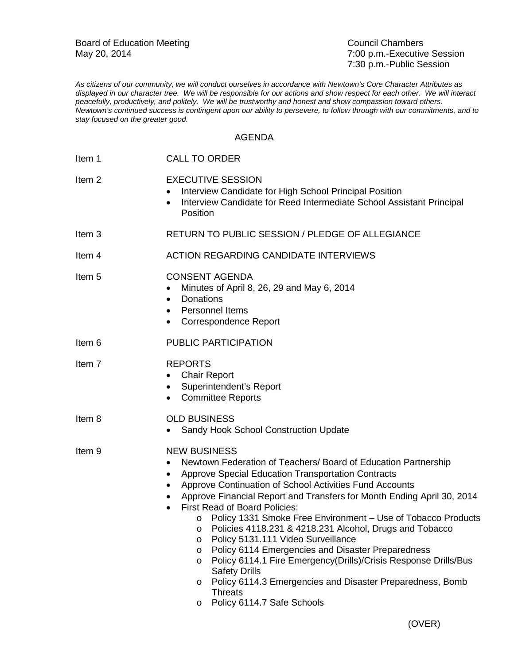Board of Education Meeting<br>
May 20, 2014<br>
May 20, 2014

7:00 p.m.-Executive Session 7:30 p.m.-Public Session

*As citizens of our community, we will conduct ourselves in accordance with Newtown's Core Character Attributes as displayed in our character tree. We will be responsible for our actions and show respect for each other. We will interact peacefully, productively, and politely. We will be trustworthy and honest and show compassion toward others. Newtown's continued success is contingent upon our ability to persevere, to follow through with our commitments, and to stay focused on the greater good.*

## AGENDA

| Item 1            | <b>CALL TO ORDER</b>                                                                                                                                                                                                                                                                                                                                                                                                                                                                                                                                                                                                                                                                                                                                                                  |
|-------------------|---------------------------------------------------------------------------------------------------------------------------------------------------------------------------------------------------------------------------------------------------------------------------------------------------------------------------------------------------------------------------------------------------------------------------------------------------------------------------------------------------------------------------------------------------------------------------------------------------------------------------------------------------------------------------------------------------------------------------------------------------------------------------------------|
| Item <sub>2</sub> | <b>EXECUTIVE SESSION</b><br>Interview Candidate for High School Principal Position<br>Interview Candidate for Reed Intermediate School Assistant Principal<br>Position                                                                                                                                                                                                                                                                                                                                                                                                                                                                                                                                                                                                                |
| Item <sub>3</sub> | RETURN TO PUBLIC SESSION / PLEDGE OF ALLEGIANCE                                                                                                                                                                                                                                                                                                                                                                                                                                                                                                                                                                                                                                                                                                                                       |
| Item 4            | <b>ACTION REGARDING CANDIDATE INTERVIEWS</b>                                                                                                                                                                                                                                                                                                                                                                                                                                                                                                                                                                                                                                                                                                                                          |
| Item <sub>5</sub> | <b>CONSENT AGENDA</b><br>Minutes of April 8, 26, 29 and May 6, 2014<br><b>Donations</b><br>$\bullet$<br>Personnel Items<br>$\bullet$<br>Correspondence Report                                                                                                                                                                                                                                                                                                                                                                                                                                                                                                                                                                                                                         |
| Item 6            | PUBLIC PARTICIPATION                                                                                                                                                                                                                                                                                                                                                                                                                                                                                                                                                                                                                                                                                                                                                                  |
| Item 7            | <b>REPORTS</b><br><b>Chair Report</b><br>Superintendent's Report<br>$\bullet$<br><b>Committee Reports</b><br>$\bullet$                                                                                                                                                                                                                                                                                                                                                                                                                                                                                                                                                                                                                                                                |
| Item 8            | <b>OLD BUSINESS</b><br>Sandy Hook School Construction Update<br>$\bullet$                                                                                                                                                                                                                                                                                                                                                                                                                                                                                                                                                                                                                                                                                                             |
| Item <sub>9</sub> | <b>NEW BUSINESS</b><br>Newtown Federation of Teachers/ Board of Education Partnership<br>$\bullet$<br>Approve Special Education Transportation Contracts<br>٠<br>Approve Continuation of School Activities Fund Accounts<br>Approve Financial Report and Transfers for Month Ending April 30, 2014<br><b>First Read of Board Policies:</b><br>Policy 1331 Smoke Free Environment - Use of Tobacco Products<br>Policies 4118.231 & 4218.231 Alcohol, Drugs and Tobacco<br>O<br>Policy 5131.111 Video Surveillance<br>O<br>Policy 6114 Emergencies and Disaster Preparedness<br>$\circ$<br>Policy 6114.1 Fire Emergency(Drills)/Crisis Response Drills/Bus<br>$\circ$<br><b>Safety Drills</b><br>Policy 6114.3 Emergencies and Disaster Preparedness, Bomb<br>$\circ$<br><b>Threats</b> |

o Policy 6114.7 Safe Schools